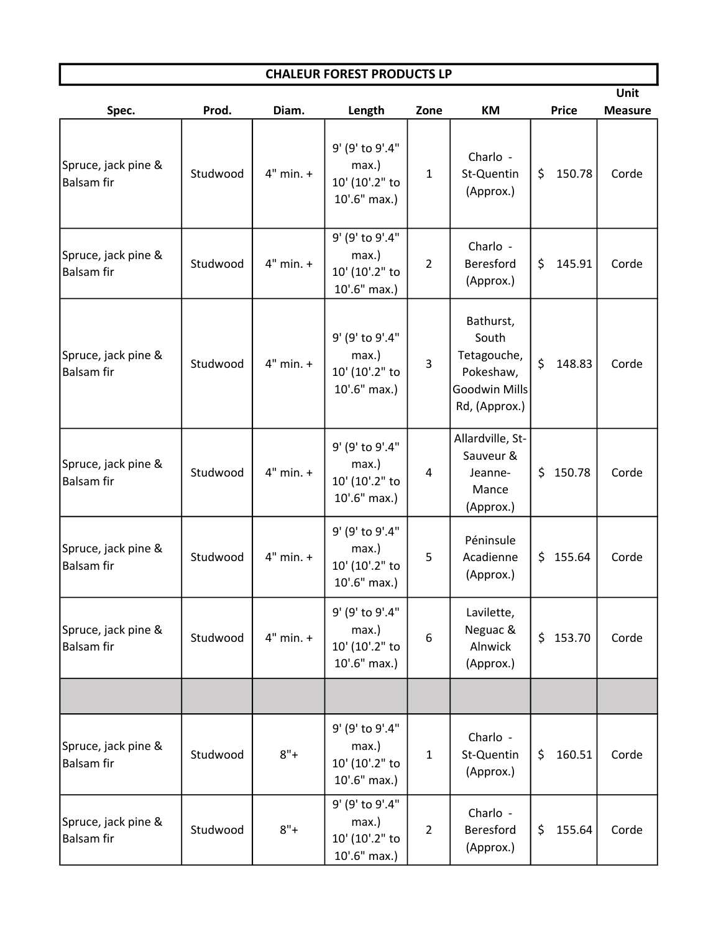| <b>CHALEUR FOREST PRODUCTS LP</b>        |          |               |                                                            |                |                                                                                  |               |                |  |  |  |  |  |
|------------------------------------------|----------|---------------|------------------------------------------------------------|----------------|----------------------------------------------------------------------------------|---------------|----------------|--|--|--|--|--|
|                                          |          |               |                                                            |                |                                                                                  |               | Unit           |  |  |  |  |  |
| Spec.                                    | Prod.    | Diam.         | Length                                                     | Zone           | KM                                                                               | <b>Price</b>  | <b>Measure</b> |  |  |  |  |  |
| Spruce, jack pine &<br>Balsam fir        | Studwood | $4"$ min. $+$ | 9' (9' to 9'.4"<br>max.)<br>10' (10'.2" to<br>10'.6" max.) | $\mathbf{1}$   | Charlo -<br>St-Quentin<br>(Approx.)                                              | 150.78<br>\$  | Corde          |  |  |  |  |  |
| Spruce, jack pine &<br>Balsam fir        | Studwood | $4"$ min. $+$ | 9' (9' to 9'.4"<br>max.)<br>10' (10'.2" to<br>10'.6" max.) | $\overline{2}$ | Charlo -<br>Beresford<br>(Approx.)                                               | 145.91<br>\$  | Corde          |  |  |  |  |  |
| Spruce, jack pine &<br>Balsam fir        | Studwood | $4"$ min. $+$ | 9' (9' to 9'.4"<br>max.)<br>10' (10'.2" to<br>10'.6" max.) | 3              | Bathurst,<br>South<br>Tetagouche,<br>Pokeshaw,<br>Goodwin Mills<br>Rd, (Approx.) | \$<br>148.83  | Corde          |  |  |  |  |  |
| Spruce, jack pine &<br><b>Balsam fir</b> | Studwood | $4"$ min. $+$ | 9' (9' to 9'.4"<br>max.)<br>10' (10'.2" to<br>10'.6" max.) | 4              | Allardville, St-<br>Sauveur &<br>Jeanne-<br>Mance<br>(Approx.)                   | \$150.78      | Corde          |  |  |  |  |  |
| Spruce, jack pine &<br><b>Balsam fir</b> | Studwood | $4"$ min. $+$ | 9' (9' to 9'.4"<br>max.)<br>10' (10'.2" to<br>10'.6" max.) | 5              | Péninsule<br>Acadienne<br>(Approx.)                                              | \$155.64      | Corde          |  |  |  |  |  |
| Spruce, jack pine &<br><b>Balsam fir</b> | Studwood | $4"$ min. $+$ | 9' (9' to 9'.4"<br>max.)<br>10' (10'.2" to<br>10'.6" max.) | 6              | Lavilette,<br>Neguac &<br>Alnwick<br>(Approx.)                                   | \$153.70      | Corde          |  |  |  |  |  |
|                                          |          |               |                                                            |                |                                                                                  |               |                |  |  |  |  |  |
| Spruce, jack pine &<br><b>Balsam fir</b> | Studwood | $8"+$         | 9' (9' to 9'.4"<br>max.)<br>10' (10'.2" to<br>10'.6" max.) | $\mathbf 1$    | Charlo -<br>St-Quentin<br>(Approx.)                                              | 160.51<br>\$  | Corde          |  |  |  |  |  |
| Spruce, jack pine &<br><b>Balsam fir</b> | Studwood | $8"+$         | 9' (9' to 9'.4"<br>max.)<br>10' (10'.2" to<br>10'.6" max.) | $\overline{2}$ | Charlo -<br>Beresford<br>(Approx.)                                               | 155.64<br>\$. | Corde          |  |  |  |  |  |